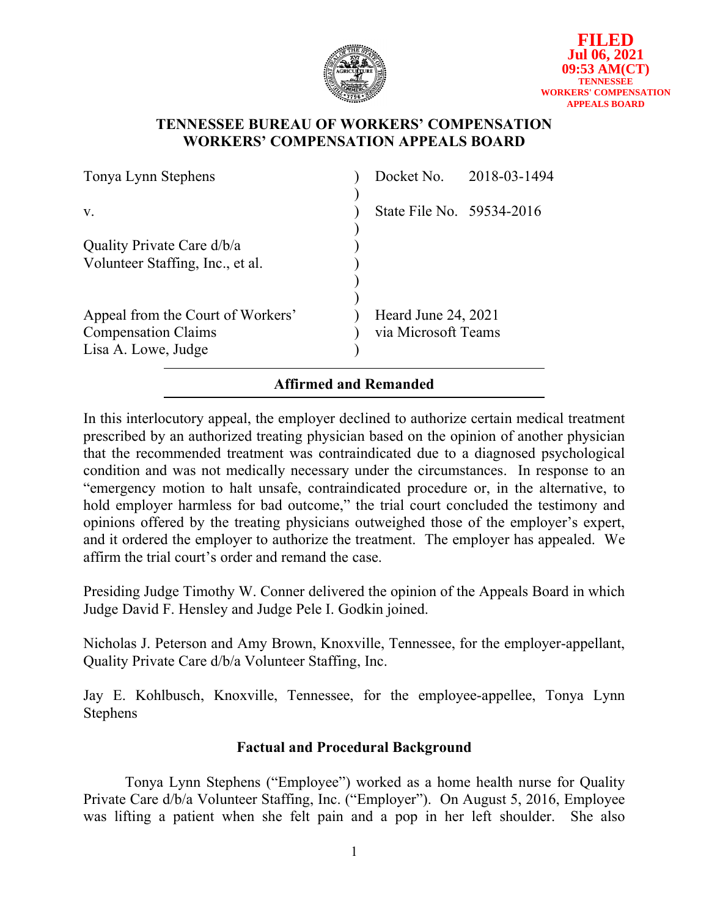

## **TENNESSEE BUREAU OF WORKERS' COMPENSATION WORKERS' COMPENSATION APPEALS BOARD**

| Tonya Lynn Stephens                                            |                           | Docket No. 2018-03-1494 |  |
|----------------------------------------------------------------|---------------------------|-------------------------|--|
|                                                                |                           |                         |  |
| V.                                                             | State File No. 59534-2016 |                         |  |
| Quality Private Care d/b/a<br>Volunteer Staffing, Inc., et al. |                           |                         |  |
|                                                                |                           |                         |  |
| Appeal from the Court of Workers'                              | Heard June 24, 2021       |                         |  |
| <b>Compensation Claims</b>                                     | via Microsoft Teams       |                         |  |
| Lisa A. Lowe, Judge                                            |                           |                         |  |
|                                                                | Affirmed and Remanded     |                         |  |

In this interlocutory appeal, the employer declined to authorize certain medical treatment prescribed by an authorized treating physician based on the opinion of another physician that the recommended treatment was contraindicated due to a diagnosed psychological condition and was not medically necessary under the circumstances. In response to an "emergency motion to halt unsafe, contraindicated procedure or, in the alternative, to hold employer harmless for bad outcome," the trial court concluded the testimony and opinions offered by the treating physicians outweighed those of the employer's expert, and it ordered the employer to authorize the treatment. The employer has appealed. We affirm the trial court's order and remand the case.

Presiding Judge Timothy W. Conner delivered the opinion of the Appeals Board in which Judge David F. Hensley and Judge Pele I. Godkin joined.

Nicholas J. Peterson and Amy Brown, Knoxville, Tennessee, for the employer-appellant, Quality Private Care d/b/a Volunteer Staffing, Inc.

Jay E. Kohlbusch, Knoxville, Tennessee, for the employee-appellee, Tonya Lynn Stephens

# **Factual and Procedural Background**

Tonya Lynn Stephens ("Employee") worked as a home health nurse for Quality Private Care d/b/a Volunteer Staffing, Inc. ("Employer"). On August 5, 2016, Employee was lifting a patient when she felt pain and a pop in her left shoulder. She also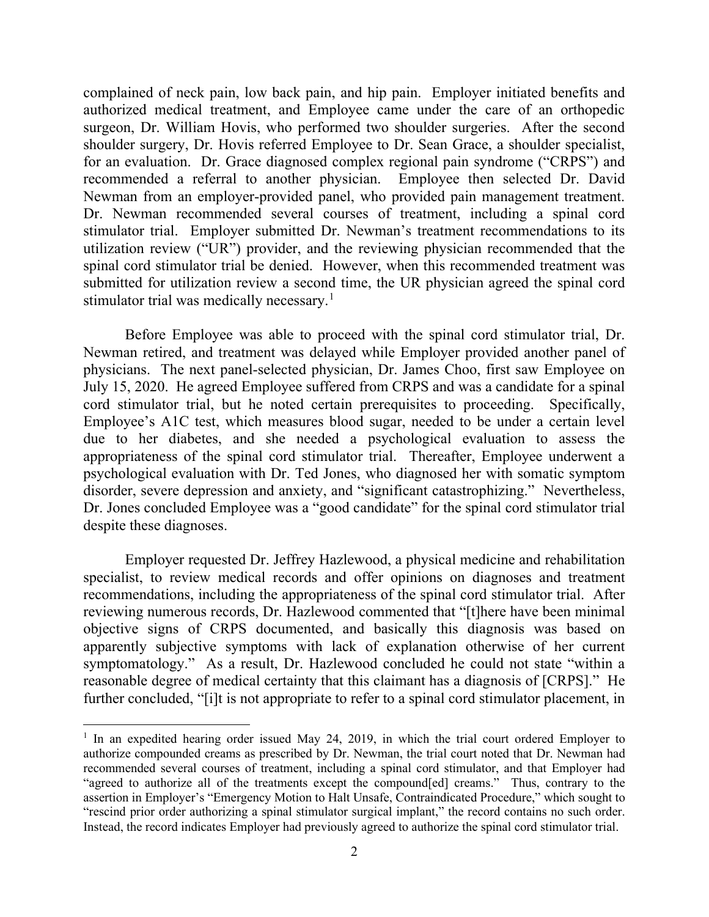complained of neck pain, low back pain, and hip pain. Employer initiated benefits and authorized medical treatment, and Employee came under the care of an orthopedic surgeon, Dr. William Hovis, who performed two shoulder surgeries. After the second shoulder surgery, Dr. Hovis referred Employee to Dr. Sean Grace, a shoulder specialist, for an evaluation. Dr. Grace diagnosed complex regional pain syndrome ("CRPS") and recommended a referral to another physician. Employee then selected Dr. David Newman from an employer-provided panel, who provided pain management treatment. Dr. Newman recommended several courses of treatment, including a spinal cord stimulator trial. Employer submitted Dr. Newman's treatment recommendations to its utilization review ("UR") provider, and the reviewing physician recommended that the spinal cord stimulator trial be denied. However, when this recommended treatment was submitted for utilization review a second time, the UR physician agreed the spinal cord stimulator trial was medically necessary.<sup>[1](#page-1-0)</sup>

Before Employee was able to proceed with the spinal cord stimulator trial, Dr. Newman retired, and treatment was delayed while Employer provided another panel of physicians. The next panel-selected physician, Dr. James Choo, first saw Employee on July 15, 2020. He agreed Employee suffered from CRPS and was a candidate for a spinal cord stimulator trial, but he noted certain prerequisites to proceeding. Specifically, Employee's A1C test, which measures blood sugar, needed to be under a certain level due to her diabetes, and she needed a psychological evaluation to assess the appropriateness of the spinal cord stimulator trial. Thereafter, Employee underwent a psychological evaluation with Dr. Ted Jones, who diagnosed her with somatic symptom disorder, severe depression and anxiety, and "significant catastrophizing." Nevertheless, Dr. Jones concluded Employee was a "good candidate" for the spinal cord stimulator trial despite these diagnoses.

Employer requested Dr. Jeffrey Hazlewood, a physical medicine and rehabilitation specialist, to review medical records and offer opinions on diagnoses and treatment recommendations, including the appropriateness of the spinal cord stimulator trial. After reviewing numerous records, Dr. Hazlewood commented that "[t]here have been minimal objective signs of CRPS documented, and basically this diagnosis was based on apparently subjective symptoms with lack of explanation otherwise of her current symptomatology." As a result, Dr. Hazlewood concluded he could not state "within a reasonable degree of medical certainty that this claimant has a diagnosis of [CRPS]." He further concluded, "[i]t is not appropriate to refer to a spinal cord stimulator placement, in

<span id="page-1-0"></span><sup>&</sup>lt;sup>1</sup> In an expedited hearing order issued May 24, 2019, in which the trial court ordered Employer to authorize compounded creams as prescribed by Dr. Newman, the trial court noted that Dr. Newman had recommended several courses of treatment, including a spinal cord stimulator, and that Employer had "agreed to authorize all of the treatments except the compound[ed] creams." Thus, contrary to the assertion in Employer's "Emergency Motion to Halt Unsafe, Contraindicated Procedure," which sought to "rescind prior order authorizing a spinal stimulator surgical implant," the record contains no such order. Instead, the record indicates Employer had previously agreed to authorize the spinal cord stimulator trial.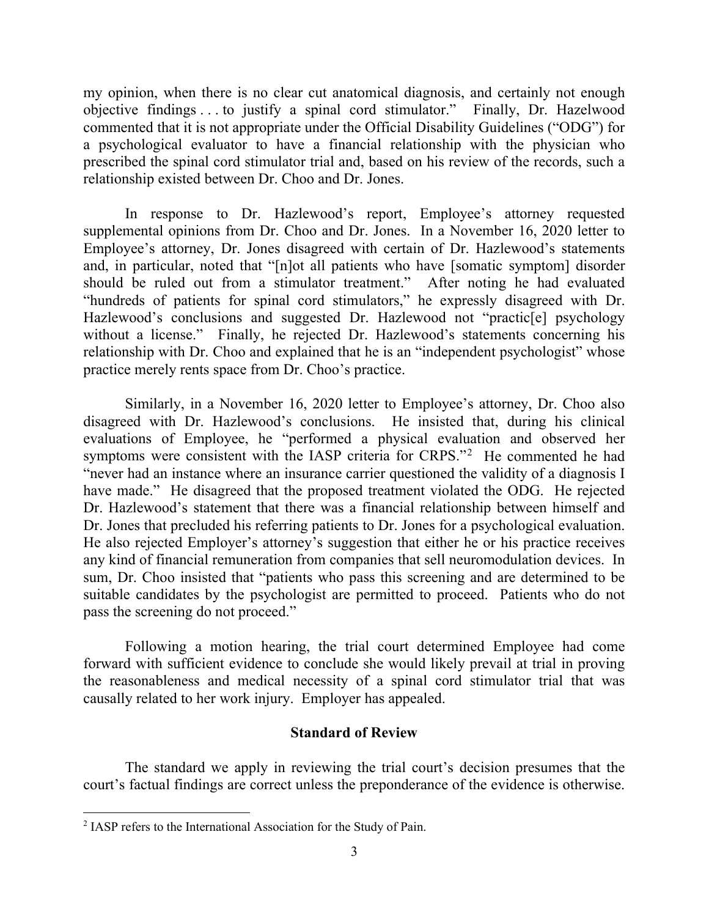my opinion, when there is no clear cut anatomical diagnosis, and certainly not enough objective findings . . . to justify a spinal cord stimulator." Finally, Dr. Hazelwood commented that it is not appropriate under the Official Disability Guidelines ("ODG") for a psychological evaluator to have a financial relationship with the physician who prescribed the spinal cord stimulator trial and, based on his review of the records, such a relationship existed between Dr. Choo and Dr. Jones.

In response to Dr. Hazlewood's report, Employee's attorney requested supplemental opinions from Dr. Choo and Dr. Jones. In a November 16, 2020 letter to Employee's attorney, Dr. Jones disagreed with certain of Dr. Hazlewood's statements and, in particular, noted that "[n]ot all patients who have [somatic symptom] disorder should be ruled out from a stimulator treatment." After noting he had evaluated "hundreds of patients for spinal cord stimulators," he expressly disagreed with Dr. Hazlewood's conclusions and suggested Dr. Hazlewood not "practic<sup>[e]</sup> psychology without a license." Finally, he rejected Dr. Hazlewood's statements concerning his relationship with Dr. Choo and explained that he is an "independent psychologist" whose practice merely rents space from Dr. Choo's practice.

Similarly, in a November 16, 2020 letter to Employee's attorney, Dr. Choo also disagreed with Dr. Hazlewood's conclusions. He insisted that, during his clinical evaluations of Employee, he "performed a physical evaluation and observed her symptoms were consistent with the IASP criteria for CRPS."<sup>[2](#page-2-0)</sup> He commented he had "never had an instance where an insurance carrier questioned the validity of a diagnosis I have made." He disagreed that the proposed treatment violated the ODG. He rejected Dr. Hazlewood's statement that there was a financial relationship between himself and Dr. Jones that precluded his referring patients to Dr. Jones for a psychological evaluation. He also rejected Employer's attorney's suggestion that either he or his practice receives any kind of financial remuneration from companies that sell neuromodulation devices. In sum, Dr. Choo insisted that "patients who pass this screening and are determined to be suitable candidates by the psychologist are permitted to proceed. Patients who do not pass the screening do not proceed."

Following a motion hearing, the trial court determined Employee had come forward with sufficient evidence to conclude she would likely prevail at trial in proving the reasonableness and medical necessity of a spinal cord stimulator trial that was causally related to her work injury. Employer has appealed.

### **Standard of Review**

The standard we apply in reviewing the trial court's decision presumes that the court's factual findings are correct unless the preponderance of the evidence is otherwise.

<span id="page-2-0"></span><sup>&</sup>lt;sup>2</sup> IASP refers to the International Association for the Study of Pain.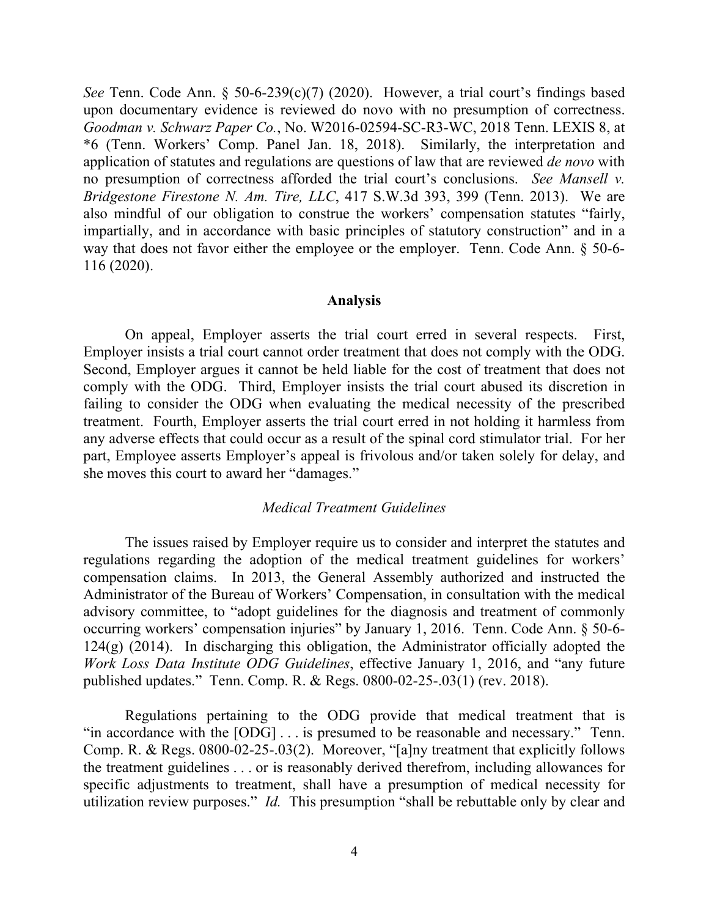*See* Tenn. Code Ann. § 50-6-239(c)(7) (2020). However, a trial court's findings based upon documentary evidence is reviewed do novo with no presumption of correctness. *Goodman v. Schwarz Paper Co.*, No. W2016-02594-SC-R3-WC, 2018 Tenn. LEXIS 8, at \*6 (Tenn. Workers' Comp. Panel Jan. 18, 2018). Similarly, the interpretation and application of statutes and regulations are questions of law that are reviewed *de novo* with no presumption of correctness afforded the trial court's conclusions. *See Mansell v. Bridgestone Firestone N. Am. Tire, LLC*, 417 S.W.3d 393, 399 (Tenn. 2013). We are also mindful of our obligation to construe the workers' compensation statutes "fairly, impartially, and in accordance with basic principles of statutory construction" and in a way that does not favor either the employee or the employer. Tenn. Code Ann. § 50-6- 116 (2020).

#### **Analysis**

On appeal, Employer asserts the trial court erred in several respects. First, Employer insists a trial court cannot order treatment that does not comply with the ODG. Second, Employer argues it cannot be held liable for the cost of treatment that does not comply with the ODG. Third, Employer insists the trial court abused its discretion in failing to consider the ODG when evaluating the medical necessity of the prescribed treatment. Fourth, Employer asserts the trial court erred in not holding it harmless from any adverse effects that could occur as a result of the spinal cord stimulator trial. For her part, Employee asserts Employer's appeal is frivolous and/or taken solely for delay, and she moves this court to award her "damages."

#### *Medical Treatment Guidelines*

The issues raised by Employer require us to consider and interpret the statutes and regulations regarding the adoption of the medical treatment guidelines for workers' compensation claims. In 2013, the General Assembly authorized and instructed the Administrator of the Bureau of Workers' Compensation, in consultation with the medical advisory committee, to "adopt guidelines for the diagnosis and treatment of commonly occurring workers' compensation injuries" by January 1, 2016. Tenn. Code Ann. § 50-6- 124(g) (2014). In discharging this obligation, the Administrator officially adopted the *Work Loss Data Institute ODG Guidelines*, effective January 1, 2016, and "any future published updates." Tenn. Comp. R. & Regs. 0800-02-25-.03(1) (rev. 2018).

Regulations pertaining to the ODG provide that medical treatment that is "in accordance with the  $[ODG] \dots$  is presumed to be reasonable and necessary." Tenn. Comp. R. & Regs. 0800-02-25-.03(2). Moreover, "[a]ny treatment that explicitly follows the treatment guidelines . . . or is reasonably derived therefrom, including allowances for specific adjustments to treatment, shall have a presumption of medical necessity for utilization review purposes." *Id.* This presumption "shall be rebuttable only by clear and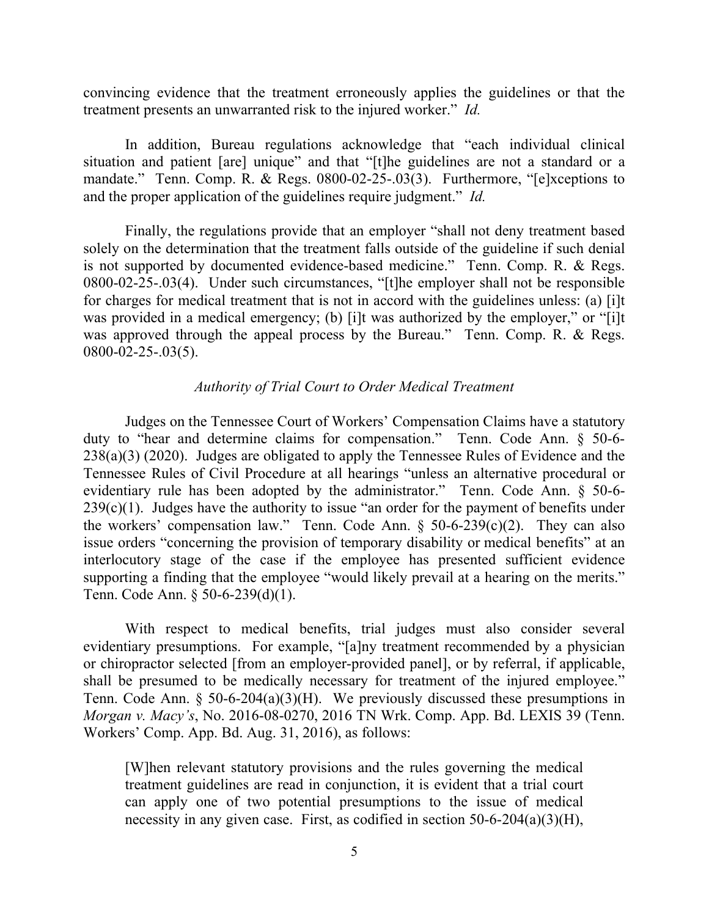convincing evidence that the treatment erroneously applies the guidelines or that the treatment presents an unwarranted risk to the injured worker." *Id.*

In addition, Bureau regulations acknowledge that "each individual clinical situation and patient [are] unique" and that "[t]he guidelines are not a standard or a mandate." Tenn. Comp. R. & Regs. 0800-02-25-.03(3). Furthermore, "[e]xceptions to and the proper application of the guidelines require judgment." *Id.*

Finally, the regulations provide that an employer "shall not deny treatment based solely on the determination that the treatment falls outside of the guideline if such denial is not supported by documented evidence-based medicine." Tenn. Comp. R. & Regs. 0800-02-25-.03(4). Under such circumstances, "[t]he employer shall not be responsible for charges for medical treatment that is not in accord with the guidelines unless: (a) [i]t was provided in a medical emergency; (b) [i]t was authorized by the employer," or "[i]t was approved through the appeal process by the Bureau." Tenn. Comp. R. & Regs. 0800-02-25-.03(5).

#### *Authority of Trial Court to Order Medical Treatment*

Judges on the Tennessee Court of Workers' Compensation Claims have a statutory duty to "hear and determine claims for compensation." Tenn. Code Ann. § 50-6- 238(a)(3) (2020). Judges are obligated to apply the Tennessee Rules of Evidence and the Tennessee Rules of Civil Procedure at all hearings "unless an alternative procedural or evidentiary rule has been adopted by the administrator." Tenn. Code Ann. § 50-6-  $239(c)(1)$ . Judges have the authority to issue "an order for the payment of benefits under the workers' compensation law." Tenn. Code Ann.  $\S$  50-6-239(c)(2). They can also issue orders "concerning the provision of temporary disability or medical benefits" at an interlocutory stage of the case if the employee has presented sufficient evidence supporting a finding that the employee "would likely prevail at a hearing on the merits." Tenn. Code Ann. § 50-6-239(d)(1).

With respect to medical benefits, trial judges must also consider several evidentiary presumptions. For example, "[a]ny treatment recommended by a physician or chiropractor selected [from an employer-provided panel], or by referral, if applicable, shall be presumed to be medically necessary for treatment of the injured employee." Tenn. Code Ann. § 50-6-204(a)(3)(H). We previously discussed these presumptions in *Morgan v. Macy's*, No. 2016-08-0270, 2016 TN Wrk. Comp. App. Bd. LEXIS 39 (Tenn. Workers' Comp. App. Bd. Aug. 31, 2016), as follows:

[W]hen relevant statutory provisions and the rules governing the medical treatment guidelines are read in conjunction, it is evident that a trial court can apply one of two potential presumptions to the issue of medical necessity in any given case. First, as codified in section 50-6-204(a)(3)(H),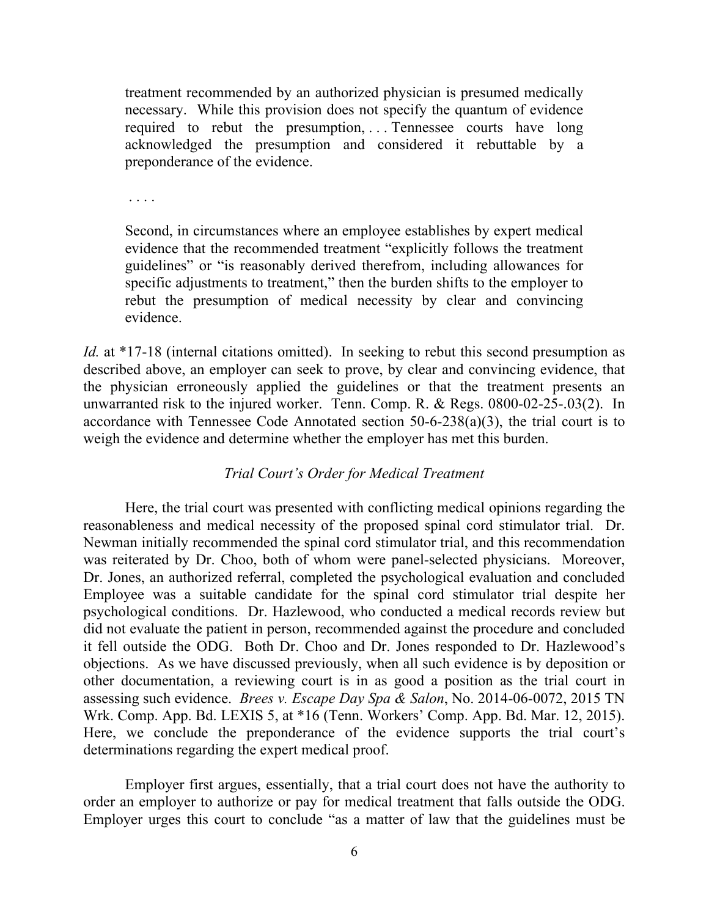treatment recommended by an authorized physician is presumed medically necessary. While this provision does not specify the quantum of evidence required to rebut the presumption, ... Tennessee courts have long acknowledged the presumption and considered it rebuttable by a preponderance of the evidence.

. . . .

Second, in circumstances where an employee establishes by expert medical evidence that the recommended treatment "explicitly follows the treatment guidelines" or "is reasonably derived therefrom, including allowances for specific adjustments to treatment," then the burden shifts to the employer to rebut the presumption of medical necessity by clear and convincing evidence.

*Id.* at \*17-18 (internal citations omitted). In seeking to rebut this second presumption as described above, an employer can seek to prove, by clear and convincing evidence, that the physician erroneously applied the guidelines or that the treatment presents an unwarranted risk to the injured worker. Tenn. Comp. R. & Regs. 0800-02-25-.03(2). In accordance with Tennessee Code Annotated section 50-6-238(a)(3), the trial court is to weigh the evidence and determine whether the employer has met this burden.

### *Trial Court's Order for Medical Treatment*

Here, the trial court was presented with conflicting medical opinions regarding the reasonableness and medical necessity of the proposed spinal cord stimulator trial. Dr. Newman initially recommended the spinal cord stimulator trial, and this recommendation was reiterated by Dr. Choo, both of whom were panel-selected physicians. Moreover, Dr. Jones, an authorized referral, completed the psychological evaluation and concluded Employee was a suitable candidate for the spinal cord stimulator trial despite her psychological conditions. Dr. Hazlewood, who conducted a medical records review but did not evaluate the patient in person, recommended against the procedure and concluded it fell outside the ODG. Both Dr. Choo and Dr. Jones responded to Dr. Hazlewood's objections. As we have discussed previously, when all such evidence is by deposition or other documentation, a reviewing court is in as good a position as the trial court in assessing such evidence. *Brees v. Escape Day Spa & Salon*, No. 2014-06-0072, 2015 TN Wrk. Comp. App. Bd. LEXIS 5, at \*16 (Tenn. Workers' Comp. App. Bd. Mar. 12, 2015). Here, we conclude the preponderance of the evidence supports the trial court's determinations regarding the expert medical proof.

Employer first argues, essentially, that a trial court does not have the authority to order an employer to authorize or pay for medical treatment that falls outside the ODG. Employer urges this court to conclude "as a matter of law that the guidelines must be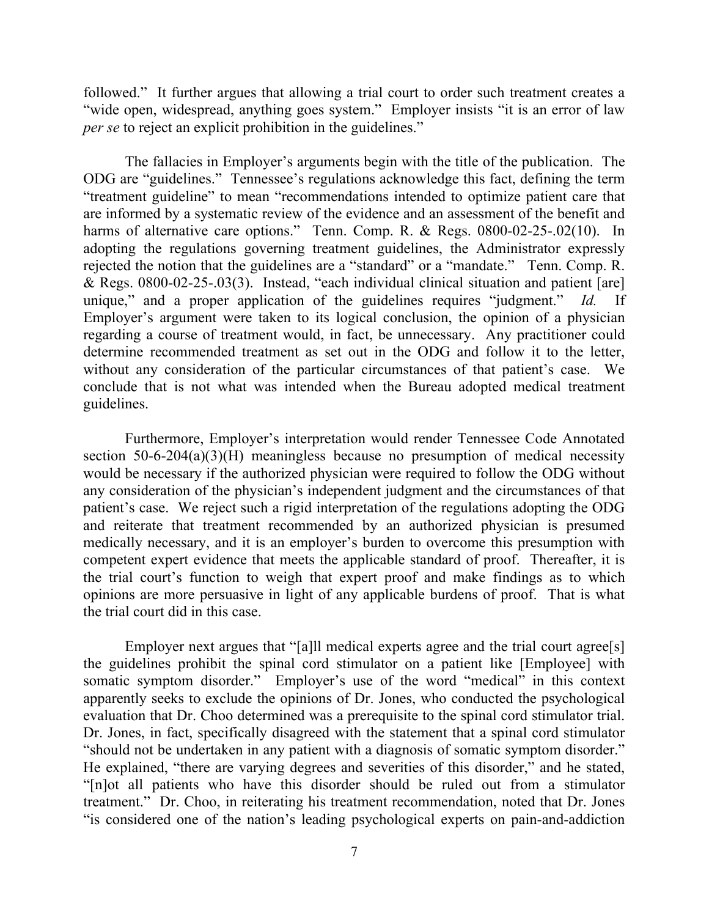followed." It further argues that allowing a trial court to order such treatment creates a "wide open, widespread, anything goes system." Employer insists "it is an error of law *per se* to reject an explicit prohibition in the guidelines."

The fallacies in Employer's arguments begin with the title of the publication. The ODG are "guidelines." Tennessee's regulations acknowledge this fact, defining the term "treatment guideline" to mean "recommendations intended to optimize patient care that are informed by a systematic review of the evidence and an assessment of the benefit and harms of alternative care options." Tenn. Comp. R. & Regs. 0800-02-25-.02(10). In adopting the regulations governing treatment guidelines, the Administrator expressly rejected the notion that the guidelines are a "standard" or a "mandate." Tenn. Comp. R. & Regs. 0800-02-25-.03(3). Instead, "each individual clinical situation and patient [are] unique," and a proper application of the guidelines requires "judgment." *Id.* If Employer's argument were taken to its logical conclusion, the opinion of a physician regarding a course of treatment would, in fact, be unnecessary. Any practitioner could determine recommended treatment as set out in the ODG and follow it to the letter, without any consideration of the particular circumstances of that patient's case. We conclude that is not what was intended when the Bureau adopted medical treatment guidelines.

Furthermore, Employer's interpretation would render Tennessee Code Annotated section  $50-6-204(a)(3)(H)$  meaningless because no presumption of medical necessity would be necessary if the authorized physician were required to follow the ODG without any consideration of the physician's independent judgment and the circumstances of that patient's case. We reject such a rigid interpretation of the regulations adopting the ODG and reiterate that treatment recommended by an authorized physician is presumed medically necessary, and it is an employer's burden to overcome this presumption with competent expert evidence that meets the applicable standard of proof. Thereafter, it is the trial court's function to weigh that expert proof and make findings as to which opinions are more persuasive in light of any applicable burdens of proof. That is what the trial court did in this case.

Employer next argues that "[a]ll medical experts agree and the trial court agree<sup>[s]</sup> the guidelines prohibit the spinal cord stimulator on a patient like [Employee] with somatic symptom disorder." Employer's use of the word "medical" in this context apparently seeks to exclude the opinions of Dr. Jones, who conducted the psychological evaluation that Dr. Choo determined was a prerequisite to the spinal cord stimulator trial. Dr. Jones, in fact, specifically disagreed with the statement that a spinal cord stimulator "should not be undertaken in any patient with a diagnosis of somatic symptom disorder." He explained, "there are varying degrees and severities of this disorder," and he stated, "[n]ot all patients who have this disorder should be ruled out from a stimulator treatment." Dr. Choo, in reiterating his treatment recommendation, noted that Dr. Jones "is considered one of the nation's leading psychological experts on pain-and-addiction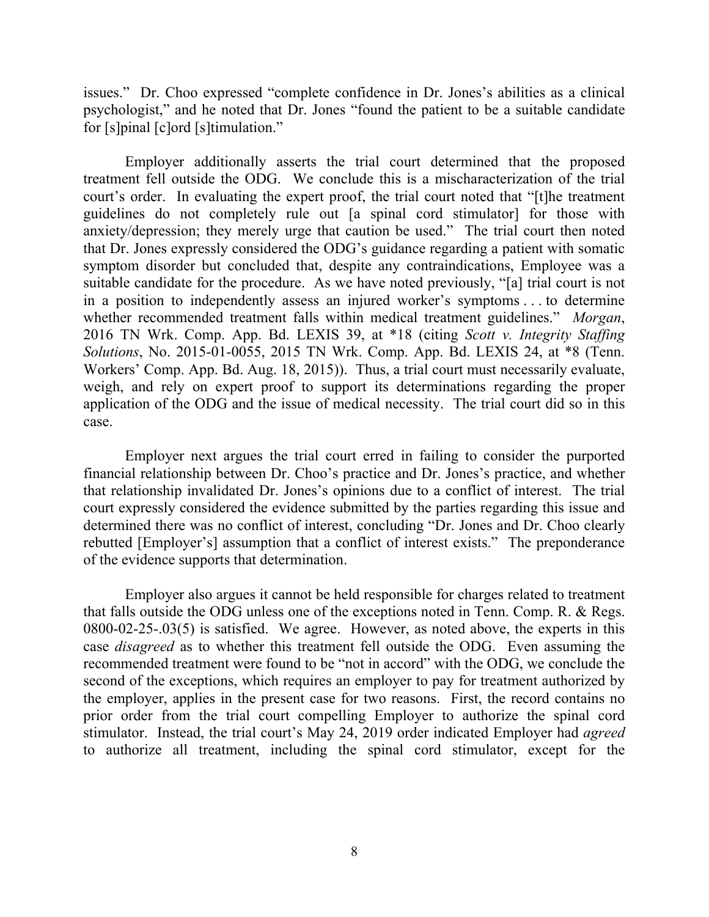issues." Dr. Choo expressed "complete confidence in Dr. Jones's abilities as a clinical psychologist," and he noted that Dr. Jones "found the patient to be a suitable candidate for [s]pinal [c]ord [s]timulation."

Employer additionally asserts the trial court determined that the proposed treatment fell outside the ODG. We conclude this is a mischaracterization of the trial court's order. In evaluating the expert proof, the trial court noted that "[t]he treatment guidelines do not completely rule out [a spinal cord stimulator] for those with anxiety/depression; they merely urge that caution be used." The trial court then noted that Dr. Jones expressly considered the ODG's guidance regarding a patient with somatic symptom disorder but concluded that, despite any contraindications, Employee was a suitable candidate for the procedure. As we have noted previously, "[a] trial court is not in a position to independently assess an injured worker's symptoms . . . to determine whether recommended treatment falls within medical treatment guidelines." *Morgan*, 2016 TN Wrk. Comp. App. Bd. LEXIS 39, at \*18 (citing *Scott v. Integrity Staffing Solutions*, No. 2015-01-0055, 2015 TN Wrk. Comp. App. Bd. LEXIS 24, at \*8 (Tenn. Workers' Comp. App. Bd. Aug. 18, 2015)). Thus, a trial court must necessarily evaluate, weigh, and rely on expert proof to support its determinations regarding the proper application of the ODG and the issue of medical necessity. The trial court did so in this case.

Employer next argues the trial court erred in failing to consider the purported financial relationship between Dr. Choo's practice and Dr. Jones's practice, and whether that relationship invalidated Dr. Jones's opinions due to a conflict of interest. The trial court expressly considered the evidence submitted by the parties regarding this issue and determined there was no conflict of interest, concluding "Dr. Jones and Dr. Choo clearly rebutted [Employer's] assumption that a conflict of interest exists." The preponderance of the evidence supports that determination.

Employer also argues it cannot be held responsible for charges related to treatment that falls outside the ODG unless one of the exceptions noted in Tenn. Comp. R. & Regs. 0800-02-25-.03(5) is satisfied. We agree. However, as noted above, the experts in this case *disagreed* as to whether this treatment fell outside the ODG. Even assuming the recommended treatment were found to be "not in accord" with the ODG, we conclude the second of the exceptions, which requires an employer to pay for treatment authorized by the employer, applies in the present case for two reasons. First, the record contains no prior order from the trial court compelling Employer to authorize the spinal cord stimulator. Instead, the trial court's May 24, 2019 order indicated Employer had *agreed* to authorize all treatment, including the spinal cord stimulator, except for the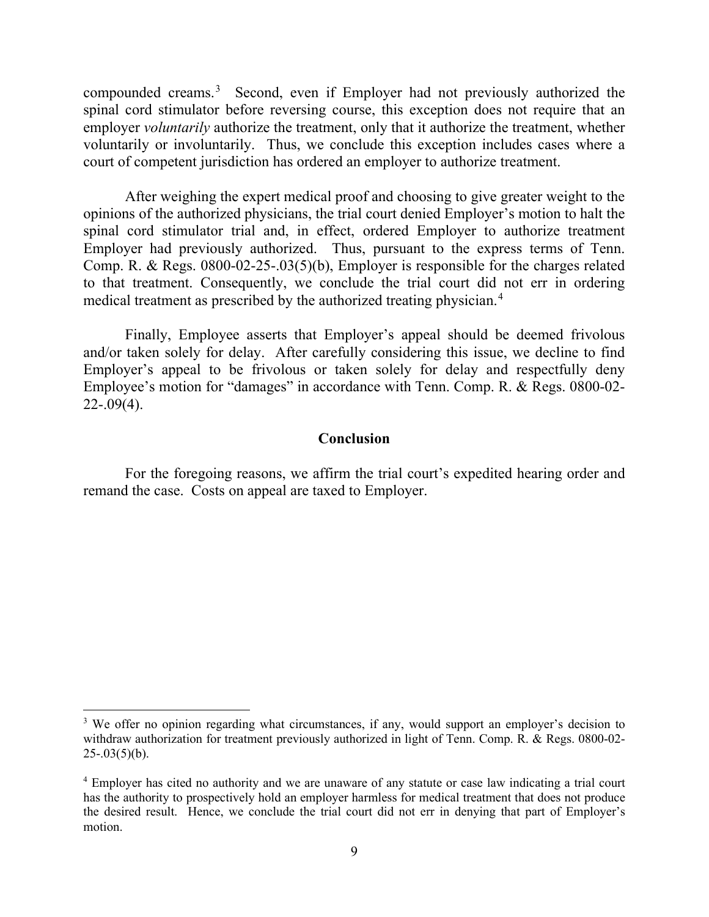compounded creams.<sup>[3](#page-8-0)</sup> Second, even if Employer had not previously authorized the spinal cord stimulator before reversing course, this exception does not require that an employer *voluntarily* authorize the treatment, only that it authorize the treatment, whether voluntarily or involuntarily. Thus, we conclude this exception includes cases where a court of competent jurisdiction has ordered an employer to authorize treatment.

After weighing the expert medical proof and choosing to give greater weight to the opinions of the authorized physicians, the trial court denied Employer's motion to halt the spinal cord stimulator trial and, in effect, ordered Employer to authorize treatment Employer had previously authorized. Thus, pursuant to the express terms of Tenn. Comp. R. & Regs. 0800-02-25-.03(5)(b), Employer is responsible for the charges related to that treatment. Consequently, we conclude the trial court did not err in ordering medical treatment as prescribed by the authorized treating physician. [4](#page-8-1)

Finally, Employee asserts that Employer's appeal should be deemed frivolous and/or taken solely for delay. After carefully considering this issue, we decline to find Employer's appeal to be frivolous or taken solely for delay and respectfully deny Employee's motion for "damages" in accordance with Tenn. Comp. R. & Regs. 0800-02-  $22-.09(4)$ .

### **Conclusion**

For the foregoing reasons, we affirm the trial court's expedited hearing order and remand the case. Costs on appeal are taxed to Employer.

<span id="page-8-0"></span><sup>&</sup>lt;sup>3</sup> We offer no opinion regarding what circumstances, if any, would support an employer's decision to withdraw authorization for treatment previously authorized in light of Tenn. Comp. R. & Regs. 0800-02-  $25 - .03(5)(b)$ .

<span id="page-8-1"></span><sup>4</sup> Employer has cited no authority and we are unaware of any statute or case law indicating a trial court has the authority to prospectively hold an employer harmless for medical treatment that does not produce the desired result. Hence, we conclude the trial court did not err in denying that part of Employer's motion.